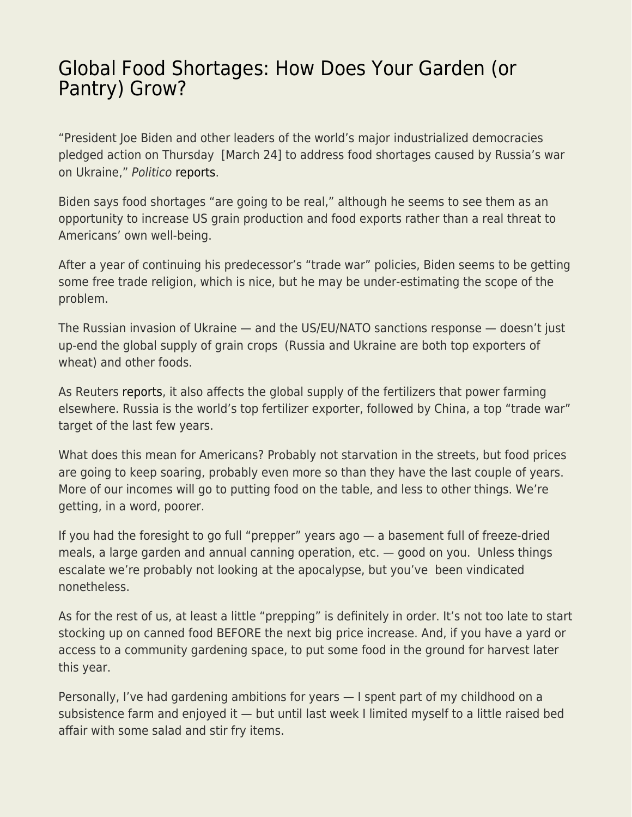## [Global Food Shortages: How Does Your Garden \(or](https://everything-voluntary.com/global-food-shortages-how-does-your-garden-or-pantry-grow) [Pantry\) Grow?](https://everything-voluntary.com/global-food-shortages-how-does-your-garden-or-pantry-grow)

"President Joe Biden and other leaders of the world's major industrialized democracies pledged action on Thursday [March 24] to address food shortages caused by Russia's war on Ukraine," Politico [reports.](https://www.politico.com/news/2022/03/24/g-7-leaders-food-shortages-war-00020231)

Biden says food shortages "are going to be real," although he seems to see them as an opportunity to increase US grain production and food exports rather than a real threat to Americans' own well-being.

After a year of continuing his predecessor's "trade war" policies, Biden seems to be getting some free trade religion, which is nice, but he may be under-estimating the scope of the problem.

The Russian invasion of Ukraine — and the US/EU/NATO sanctions response — doesn't just up-end the global supply of grain crops (Russia and Ukraine are both top exporters of wheat) and other foods.

As Reuters [reports](https://www.reuters.com/business/sanctions-bite-russia-fertilizer-shortage-imperils-world-food-supply-2022-03-23/), it also affects the global supply of the fertilizers that power farming elsewhere. Russia is the world's top fertilizer exporter, followed by China, a top "trade war" target of the last few years.

What does this mean for Americans? Probably not starvation in the streets, but food prices are going to keep soaring, probably even more so than they have the last couple of years. More of our incomes will go to putting food on the table, and less to other things. We're getting, in a word, poorer.

If you had the foresight to go full "prepper" years ago — a basement full of freeze-dried meals, a large garden and annual canning operation, etc. — good on you. Unless things escalate we're probably not looking at the apocalypse, but you've been vindicated nonetheless.

As for the rest of us, at least a little "prepping" is definitely in order. It's not too late to start stocking up on canned food BEFORE the next big price increase. And, if you have a yard or access to a community gardening space, to put some food in the ground for harvest later this year.

Personally, I've had gardening ambitions for years — I spent part of my childhood on a subsistence farm and enjoyed it — but until last week I limited myself to a little raised bed affair with some salad and stir fry items.